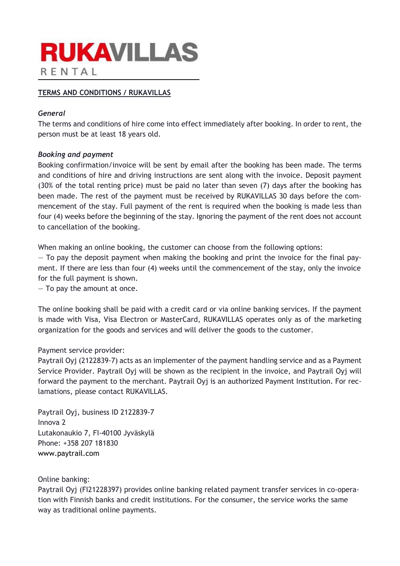# **RUKAVILLAS** RENTAL

# TERMS AND CONDITIONS / RUKAVILLAS

# General

The terms and conditions of hire come into effect immediately after booking. In order to rent, the person must be at least 18 years old.

# Booking and payment

Booking confirmation/invoice will be sent by email after the booking has been made. The terms and conditions of hire and driving instructions are sent along with the invoice. Deposit payment (30% of the total renting price) must be paid no later than seven (7) days after the booking has been made. The rest of the payment must be received by RUKAVILLAS 30 days before the commencement of the stay. Full payment of the rent is required when the booking is made less than four (4) weeks before the beginning of the stay. Ignoring the payment of the rent does not account to cancellation of the booking.

When making an online booking, the customer can choose from the following options:

 $-$  To pay the deposit payment when making the booking and print the invoice for the final payment. If there are less than four (4) weeks until the commencement of the stay, only the invoice for the full payment is shown.

— To pay the amount at once.

The online booking shall be paid with a credit card or via online banking services. If the payment is made with Visa, Visa Electron or MasterCard, RUKAVILLAS operates only as of the marketing organization for the goods and services and will deliver the goods to the customer.

# Payment service provider:

Paytrail Oyj (2122839-7) acts as an implementer of the payment handling service and as a Payment Service Provider. Paytrail Oyj will be shown as the recipient in the invoice, and Paytrail Oyj will forward the payment to the merchant. Paytrail Oyj is an authorized Payment Institution. For reclamations, please contact RUKAVILLAS.

Paytrail Oyj, business ID 2122839-7 Innova 2 Lutakonaukio 7, FI-40100 Jyväskylä Phone: +358 207 181830 www.paytrail.com

# Online banking:

Paytrail Oyj (FI21228397) provides online banking related payment transfer services in co-operation with Finnish banks and credit institutions. For the consumer, the service works the same way as traditional online payments.